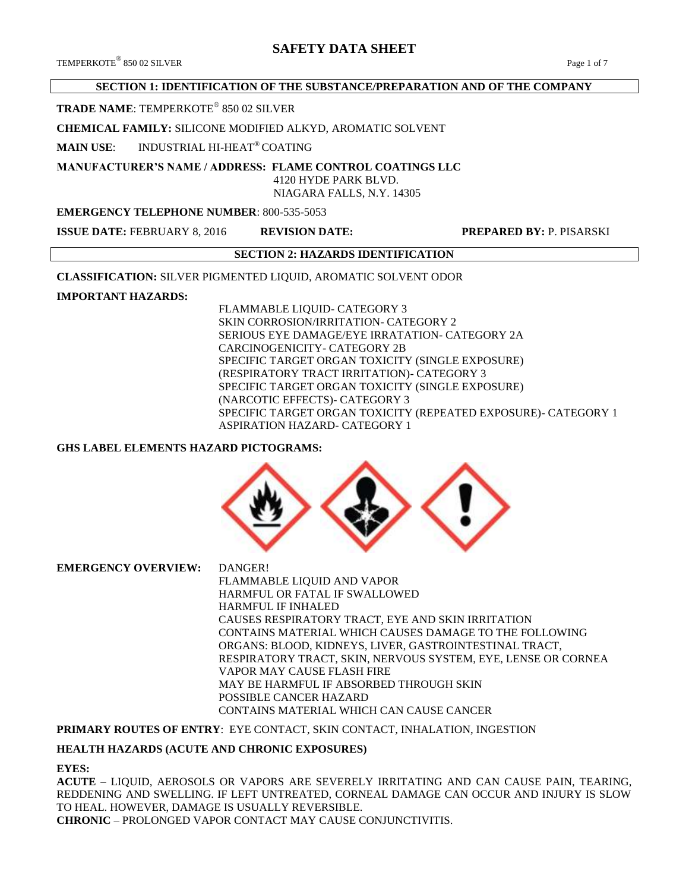# **SAFETY DATA SHEET**

## **SECTION 1: IDENTIFICATION OF THE SUBSTANCE/PREPARATION AND OF THE COMPANY**

## **TRADE NAME**: TEMPERKOTE® 850 02 SILVER

#### **CHEMICAL FAMILY:** SILICONE MODIFIED ALKYD, AROMATIC SOLVENT

**MAIN USE**: INDUSTRIAL HI-HEAT® COATING

# **MANUFACTURER'S NAME / ADDRESS: FLAME CONTROL COATINGS LLC**

 4120 HYDE PARK BLVD. NIAGARA FALLS, N.Y. 14305

#### **EMERGENCY TELEPHONE NUMBER**: 800-535-5053

**ISSUE DATE:** FEBRUARY 8, 2016 **REVISION DATE: PREPARED BY:** P. PISARSKI

#### **SECTION 2: HAZARDS IDENTIFICATION**

**CLASSIFICATION:** SILVER PIGMENTED LIQUID, AROMATIC SOLVENT ODOR

## **IMPORTANT HAZARDS:**

FLAMMABLE LIQUID- CATEGORY 3 SKIN CORROSION/IRRITATION- CATEGORY 2 SERIOUS EYE DAMAGE/EYE IRRATATION- CATEGORY 2A CARCINOGENICITY- CATEGORY 2B SPECIFIC TARGET ORGAN TOXICITY (SINGLE EXPOSURE) (RESPIRATORY TRACT IRRITATION)- CATEGORY 3 SPECIFIC TARGET ORGAN TOXICITY (SINGLE EXPOSURE) (NARCOTIC EFFECTS)- CATEGORY 3 SPECIFIC TARGET ORGAN TOXICITY (REPEATED EXPOSURE)- CATEGORY 1 ASPIRATION HAZARD- CATEGORY 1

## **GHS LABEL ELEMENTS HAZARD PICTOGRAMS:**



**EMERGENCY OVERVIEW:** DANGER! FLAMMABLE LIQUID AND VAPOR HARMFUL OR FATAL IF SWALLOWED HARMFUL IF INHALED CAUSES RESPIRATORY TRACT, EYE AND SKIN IRRITATION CONTAINS MATERIAL WHICH CAUSES DAMAGE TO THE FOLLOWING ORGANS: BLOOD, KIDNEYS, LIVER, GASTROINTESTINAL TRACT, RESPIRATORY TRACT, SKIN, NERVOUS SYSTEM, EYE, LENSE OR CORNEA VAPOR MAY CAUSE FLASH FIRE MAY BE HARMFUL IF ABSORBED THROUGH SKIN POSSIBLE CANCER HAZARD CONTAINS MATERIAL WHICH CAN CAUSE CANCER

## **PRIMARY ROUTES OF ENTRY**: EYE CONTACT, SKIN CONTACT, INHALATION, INGESTION

## **HEALTH HAZARDS (ACUTE AND CHRONIC EXPOSURES)**

#### **EYES:**

**ACUTE** – LIQUID, AEROSOLS OR VAPORS ARE SEVERELY IRRITATING AND CAN CAUSE PAIN, TEARING, REDDENING AND SWELLING. IF LEFT UNTREATED, CORNEAL DAMAGE CAN OCCUR AND INJURY IS SLOW TO HEAL. HOWEVER, DAMAGE IS USUALLY REVERSIBLE. **CHRONIC** – PROLONGED VAPOR CONTACT MAY CAUSE CONJUNCTIVITIS.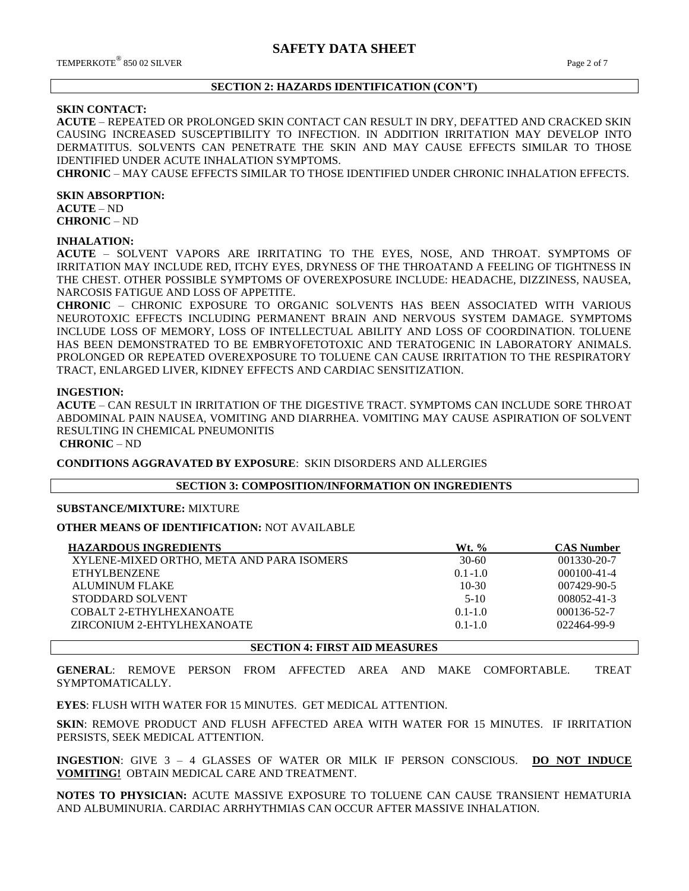#### **SECTION 2: HAZARDS IDENTIFICATION (CON'T)**

#### **SKIN CONTACT:**

**ACUTE** – REPEATED OR PROLONGED SKIN CONTACT CAN RESULT IN DRY, DEFATTED AND CRACKED SKIN CAUSING INCREASED SUSCEPTIBILITY TO INFECTION. IN ADDITION IRRITATION MAY DEVELOP INTO DERMATITUS. SOLVENTS CAN PENETRATE THE SKIN AND MAY CAUSE EFFECTS SIMILAR TO THOSE IDENTIFIED UNDER ACUTE INHALATION SYMPTOMS.

**CHRONIC** – MAY CAUSE EFFECTS SIMILAR TO THOSE IDENTIFIED UNDER CHRONIC INHALATION EFFECTS.

#### **SKIN ABSORPTION:**

**ACUTE** – ND **CHRONIC** – ND

#### **INHALATION:**

**ACUTE** – SOLVENT VAPORS ARE IRRITATING TO THE EYES, NOSE, AND THROAT. SYMPTOMS OF IRRITATION MAY INCLUDE RED, ITCHY EYES, DRYNESS OF THE THROATAND A FEELING OF TIGHTNESS IN THE CHEST. OTHER POSSIBLE SYMPTOMS OF OVEREXPOSURE INCLUDE: HEADACHE, DIZZINESS, NAUSEA, NARCOSIS FATIGUE AND LOSS OF APPETITE.

**CHRONIC** – CHRONIC EXPOSURE TO ORGANIC SOLVENTS HAS BEEN ASSOCIATED WITH VARIOUS NEUROTOXIC EFFECTS INCLUDING PERMANENT BRAIN AND NERVOUS SYSTEM DAMAGE. SYMPTOMS INCLUDE LOSS OF MEMORY, LOSS OF INTELLECTUAL ABILITY AND LOSS OF COORDINATION. TOLUENE HAS BEEN DEMONSTRATED TO BE EMBRYOFETOTOXIC AND TERATOGENIC IN LABORATORY ANIMALS. PROLONGED OR REPEATED OVEREXPOSURE TO TOLUENE CAN CAUSE IRRITATION TO THE RESPIRATORY TRACT, ENLARGED LIVER, KIDNEY EFFECTS AND CARDIAC SENSITIZATION.

#### **INGESTION:**

**ACUTE** – CAN RESULT IN IRRITATION OF THE DIGESTIVE TRACT. SYMPTOMS CAN INCLUDE SORE THROAT ABDOMINAL PAIN NAUSEA, VOMITING AND DIARRHEA. VOMITING MAY CAUSE ASPIRATION OF SOLVENT RESULTING IN CHEMICAL PNEUMONITIS

**CHRONIC** – ND

**CONDITIONS AGGRAVATED BY EXPOSURE**: SKIN DISORDERS AND ALLERGIES

#### **SECTION 3: COMPOSITION/INFORMATION ON INGREDIENTS**

#### **SUBSTANCE/MIXTURE:** MIXTURE

**OTHER MEANS OF IDENTIFICATION:** NOT AVAILABLE

| <b>HAZARDOUS INGREDIENTS</b>              | Wt. %       | <b>CAS Number</b> |
|-------------------------------------------|-------------|-------------------|
| XYLENE-MIXED ORTHO, META AND PARA ISOMERS | $30-60$     | 001330-20-7       |
| <b>ETHYLBENZENE</b>                       | $0.1 - 1.0$ | $000100 - 41 - 4$ |
| <b>ALUMINUM FLAKE</b>                     | $10-30$     | 007429-90-5       |
| STODDARD SOLVENT                          | $5-10$      | 008052-41-3       |
| COBALT 2-ETHYLHEXANOATE                   | $0.1 - 1.0$ | 000136-52-7       |
| ZIRCONIUM 2-EHTYLHEXANOATE                | $0.1 - 1.0$ | 022464-99-9       |
|                                           |             |                   |

**SECTION 4: FIRST AID MEASURES**

**GENERAL**: REMOVE PERSON FROM AFFECTED AREA AND MAKE COMFORTABLE. TREAT SYMPTOMATICALLY.

**EYES**: FLUSH WITH WATER FOR 15 MINUTES. GET MEDICAL ATTENTION.

**SKIN**: REMOVE PRODUCT AND FLUSH AFFECTED AREA WITH WATER FOR 15 MINUTES. IF IRRITATION PERSISTS, SEEK MEDICAL ATTENTION.

**INGESTION**: GIVE 3 – 4 GLASSES OF WATER OR MILK IF PERSON CONSCIOUS. **DO NOT INDUCE VOMITING!** OBTAIN MEDICAL CARE AND TREATMENT.

**NOTES TO PHYSICIAN:** ACUTE MASSIVE EXPOSURE TO TOLUENE CAN CAUSE TRANSIENT HEMATURIA AND ALBUMINURIA. CARDIAC ARRHYTHMIAS CAN OCCUR AFTER MASSIVE INHALATION.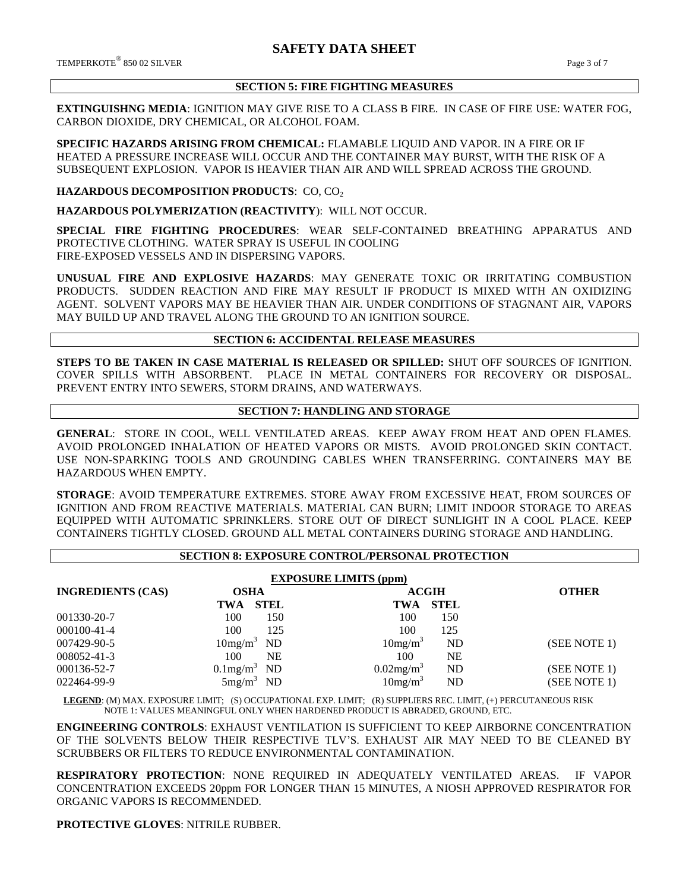$\rm{TEMPERKOTE}^{\circledR}$  850 02 SILVER  $\rm{Page\ 3}$  of  $7$ 

## **SECTION 5: FIRE FIGHTING MEASURES**

**EXTINGUISHNG MEDIA**: IGNITION MAY GIVE RISE TO A CLASS B FIRE. IN CASE OF FIRE USE: WATER FOG, CARBON DIOXIDE, DRY CHEMICAL, OR ALCOHOL FOAM.

**SPECIFIC HAZARDS ARISING FROM CHEMICAL:** FLAMABLE LIQUID AND VAPOR. IN A FIRE OR IF HEATED A PRESSURE INCREASE WILL OCCUR AND THE CONTAINER MAY BURST, WITH THE RISK OF A SUBSEQUENT EXPLOSION. VAPOR IS HEAVIER THAN AIR AND WILL SPREAD ACROSS THE GROUND.

#### **HAZARDOUS DECOMPOSITION PRODUCTS**: CO, CO<sup>2</sup>

**HAZARDOUS POLYMERIZATION (REACTIVITY**): WILL NOT OCCUR.

**SPECIAL FIRE FIGHTING PROCEDURES**: WEAR SELF-CONTAINED BREATHING APPARATUS AND PROTECTIVE CLOTHING. WATER SPRAY IS USEFUL IN COOLING FIRE-EXPOSED VESSELS AND IN DISPERSING VAPORS.

**UNUSUAL FIRE AND EXPLOSIVE HAZARDS**: MAY GENERATE TOXIC OR IRRITATING COMBUSTION PRODUCTS. SUDDEN REACTION AND FIRE MAY RESULT IF PRODUCT IS MIXED WITH AN OXIDIZING AGENT. SOLVENT VAPORS MAY BE HEAVIER THAN AIR. UNDER CONDITIONS OF STAGNANT AIR, VAPORS MAY BUILD UP AND TRAVEL ALONG THE GROUND TO AN IGNITION SOURCE.

## **SECTION 6: ACCIDENTAL RELEASE MEASURES**

**STEPS TO BE TAKEN IN CASE MATERIAL IS RELEASED OR SPILLED:** SHUT OFF SOURCES OF IGNITION. COVER SPILLS WITH ABSORBENT. PLACE IN METAL CONTAINERS FOR RECOVERY OR DISPOSAL. PREVENT ENTRY INTO SEWERS, STORM DRAINS, AND WATERWAYS.

## **SECTION 7: HANDLING AND STORAGE**

**GENERAL**: STORE IN COOL, WELL VENTILATED AREAS. KEEP AWAY FROM HEAT AND OPEN FLAMES. AVOID PROLONGED INHALATION OF HEATED VAPORS OR MISTS. AVOID PROLONGED SKIN CONTACT. USE NON-SPARKING TOOLS AND GROUNDING CABLES WHEN TRANSFERRING. CONTAINERS MAY BE HAZARDOUS WHEN EMPTY.

**STORAGE**: AVOID TEMPERATURE EXTREMES. STORE AWAY FROM EXCESSIVE HEAT, FROM SOURCES OF IGNITION AND FROM REACTIVE MATERIALS. MATERIAL CAN BURN; LIMIT INDOOR STORAGE TO AREAS EQUIPPED WITH AUTOMATIC SPRINKLERS. STORE OUT OF DIRECT SUNLIGHT IN A COOL PLACE. KEEP CONTAINERS TIGHTLY CLOSED. GROUND ALL METAL CONTAINERS DURING STORAGE AND HANDLING.

## **SECTION 8: EXPOSURE CONTROL/PERSONAL PROTECTION**

| <b>EXPOSURE LIMITS (ppm)</b> |                                  |                                |              |  |  |
|------------------------------|----------------------------------|--------------------------------|--------------|--|--|
| <b>INGREDIENTS (CAS)</b>     | <b>OSHA</b>                      | <b>ACGIH</b>                   | <b>OTHER</b> |  |  |
|                              | <b>STEL</b><br>TWA               | <b>STEL</b><br><b>TWA</b>      |              |  |  |
| 001330-20-7                  | 100<br>150                       | 100<br>150                     |              |  |  |
| 000100-41-4                  | 100<br>125                       | 100<br>125                     |              |  |  |
| 007429-90-5                  | 10mg/m <sup>3</sup><br><b>ND</b> | 10mg/m <sup>3</sup><br>ND      | (SEE NOTE 1) |  |  |
| 008052-41-3                  | 100<br>NΕ                        | <b>NE</b><br>100               |              |  |  |
| 000136-52-7                  | $0.1$ mg/m <sup>3</sup> ND       | $0.02$ mg/m <sup>3</sup><br>ND | (SEE NOTE 1) |  |  |
| 022464-99-9                  | $5mg/m^3$ ND                     | 10mg/m <sup>3</sup><br>ND      | (SEE NOTE 1) |  |  |

 **LEGEND**: (M) MAX. EXPOSURE LIMIT; (S) OCCUPATIONAL EXP. LIMIT; (R) SUPPLIERS REC. LIMIT, (+) PERCUTANEOUS RISK NOTE 1: VALUES MEANINGFUL ONLY WHEN HARDENED PRODUCT IS ABRADED, GROUND, ETC.

**ENGINEERING CONTROLS**: EXHAUST VENTILATION IS SUFFICIENT TO KEEP AIRBORNE CONCENTRATION OF THE SOLVENTS BELOW THEIR RESPECTIVE TLV'S. EXHAUST AIR MAY NEED TO BE CLEANED BY SCRUBBERS OR FILTERS TO REDUCE ENVIRONMENTAL CONTAMINATION.

**RESPIRATORY PROTECTION**: NONE REQUIRED IN ADEQUATELY VENTILATED AREAS. IF VAPOR CONCENTRATION EXCEEDS 20ppm FOR LONGER THAN 15 MINUTES, A NIOSH APPROVED RESPIRATOR FOR ORGANIC VAPORS IS RECOMMENDED.

**PROTECTIVE GLOVES**: NITRILE RUBBER.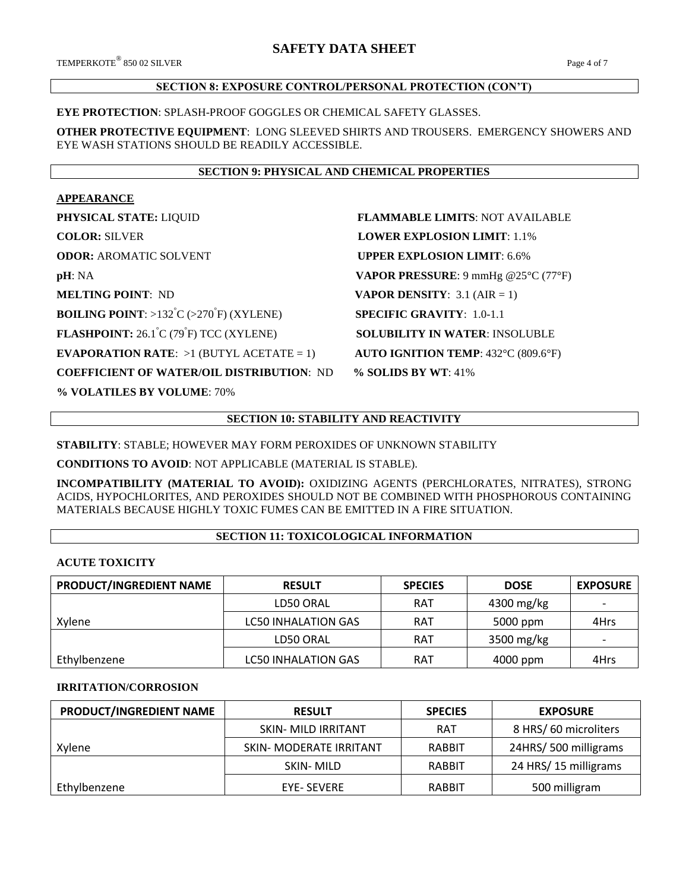# **SAFETY DATA SHEET**

## **SECTION 8: EXPOSURE CONTROL/PERSONAL PROTECTION (CON'T)**

### **EYE PROTECTION**: SPLASH-PROOF GOGGLES OR CHEMICAL SAFETY GLASSES.

**OTHER PROTECTIVE EQUIPMENT**: LONG SLEEVED SHIRTS AND TROUSERS. EMERGENCY SHOWERS AND EYE WASH STATIONS SHOULD BE READILY ACCESSIBLE.

#### **SECTION 9: PHYSICAL AND CHEMICAL PROPERTIES**

## **APPEARANCE**

| PHYSICAL STATE: LIQUID                                                             | <b>FLAMMABLE LIMITS: NOT AVAILABLE</b>     |
|------------------------------------------------------------------------------------|--------------------------------------------|
| <b>COLOR: SILVER</b>                                                               | <b>LOWER EXPLOSION LIMIT: 1.1%</b>         |
| <b>ODOR: AROMATIC SOLVENT</b>                                                      | <b>UPPER EXPLOSION LIMIT: 6.6%</b>         |
| pH:NA                                                                              | VAPOR PRESSURE: 9 mmHg @25°C (77°F)        |
| <b>MELTING POINT: ND</b>                                                           | <b>VAPOR DENSITY:</b> 3.1 (AIR = 1)        |
| <b>BOILING POINT:</b> >132 <sup>°</sup> C (>270 <sup><sup>°</sup>F)</sup> (XYLENE) | <b>SPECIFIC GRAVITY:</b> $1.0-1.1$         |
| <b>FLASHPOINT:</b> $26.1^{\circ}C(79^{\circ}F)$ TCC (XYLENE)                       | <b>SOLUBILITY IN WATER: INSOLUBLE</b>      |
| <b>EVAPORATION RATE:</b> $>1$ (BUTYL ACETATE = 1)                                  | <b>AUTO IGNITION TEMP: 432°C (809.6°F)</b> |
| <b>COEFFICIENT OF WATER/OIL DISTRIBUTION: ND</b>                                   | % SOLIDS BY WT: 41%                        |
| % VOLATILES BY VOLUME: 70%                                                         |                                            |

## **SECTION 10: STABILITY AND REACTIVITY**

**STABILITY**: STABLE; HOWEVER MAY FORM PEROXIDES OF UNKNOWN STABILITY

**CONDITIONS TO AVOID**: NOT APPLICABLE (MATERIAL IS STABLE).

**INCOMPATIBILITY (MATERIAL TO AVOID):** OXIDIZING AGENTS (PERCHLORATES, NITRATES), STRONG ACIDS, HYPOCHLORITES, AND PEROXIDES SHOULD NOT BE COMBINED WITH PHOSPHOROUS CONTAINING MATERIALS BECAUSE HIGHLY TOXIC FUMES CAN BE EMITTED IN A FIRE SITUATION.

## **SECTION 11: TOXICOLOGICAL INFORMATION**

#### **ACUTE TOXICITY**

| PRODUCT/INGREDIENT NAME | <b>RESULT</b>              | <b>SPECIES</b> | <b>DOSE</b> | <b>EXPOSURE</b>          |
|-------------------------|----------------------------|----------------|-------------|--------------------------|
|                         | LD50 ORAL                  | <b>RAT</b>     | 4300 mg/kg  | $\overline{\phantom{a}}$ |
| Xylene                  | LC50 INHALATION GAS        | <b>RAT</b>     | 5000 ppm    | 4Hrs                     |
|                         | LD50 ORAL                  | <b>RAT</b>     | 3500 mg/kg  |                          |
| Ethylbenzene            | <b>LC50 INHALATION GAS</b> | <b>RAT</b>     | 4000 ppm    | 4Hrs                     |

## **IRRITATION/CORROSION**

| PRODUCT/INGREDIENT NAME | <b>RESULT</b>              | <b>SPECIES</b> | <b>EXPOSURE</b>      |
|-------------------------|----------------------------|----------------|----------------------|
|                         | <b>SKIN- MILD IRRITANT</b> | <b>RAT</b>     | 8 HRS/60 microliters |
| Xylene                  | SKIN- MODERATE IRRITANT    | <b>RABBIT</b>  | 24HRS/500 milligrams |
|                         | SKIN-MILD                  | <b>RABBIT</b>  | 24 HRS/15 milligrams |
| Ethylbenzene            | <b>EYE- SEVERE</b>         | <b>RABBIT</b>  | 500 milligram        |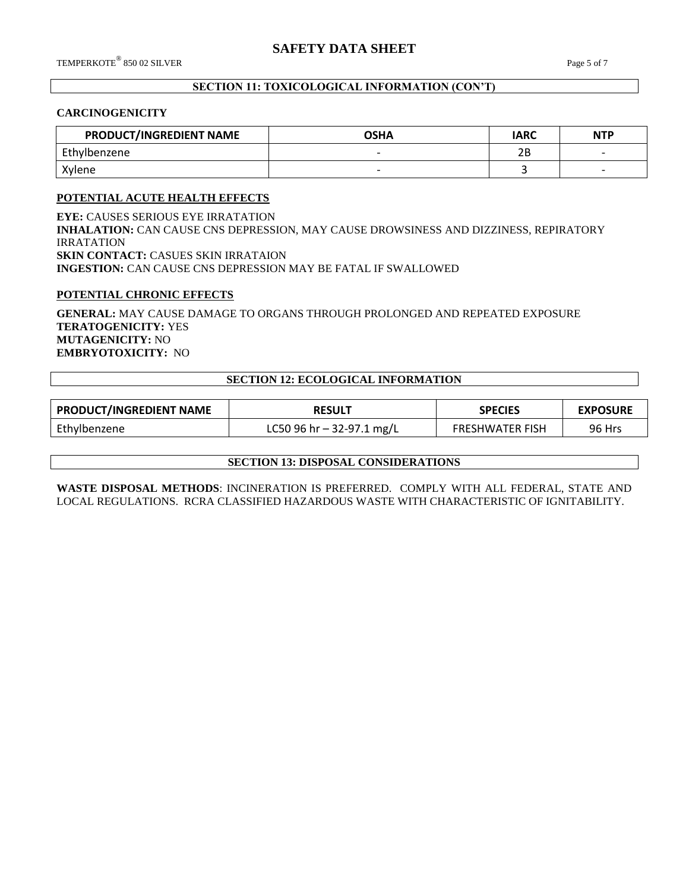## **SECTION 11: TOXICOLOGICAL INFORMATION (CON'T)**

#### **CARCINOGENICITY**

| PRODUCT/INGREDIENT NAME | <b>OSHA</b> | <b>IARC</b> | <b>NTP</b> |
|-------------------------|-------------|-------------|------------|
| Ethylbenzene            |             | ח ר<br>∠⊏   |            |
| Xvlene                  |             |             |            |

## **POTENTIAL ACUTE HEALTH EFFECTS**

**EYE:** CAUSES SERIOUS EYE IRRATATION **INHALATION:** CAN CAUSE CNS DEPRESSION, MAY CAUSE DROWSINESS AND DIZZINESS, REPIRATORY IRRATATION **SKIN CONTACT:** CASUES SKIN IRRATAION **INGESTION:** CAN CAUSE CNS DEPRESSION MAY BE FATAL IF SWALLOWED

#### **POTENTIAL CHRONIC EFFECTS**

**GENERAL:** MAY CAUSE DAMAGE TO ORGANS THROUGH PROLONGED AND REPEATED EXPOSURE **TERATOGENICITY:** YES **MUTAGENICITY:** NO **EMBRYOTOXICITY:** NO

## **SECTION 12: ECOLOGICAL INFORMATION**

| <b>PRODUCT/INGREDIENT NAME</b> | <b>RESULT</b>               | <b>SPECIES</b>         | <b>EXPOSURE</b> |
|--------------------------------|-----------------------------|------------------------|-----------------|
| Ethylbenzene                   | LC50 96 hr $-$ 32-97.1 mg/L | <b>FRESHWATER FISH</b> | 96 Hrs          |

**SECTION 13: DISPOSAL CONSIDERATIONS**

**WASTE DISPOSAL METHODS**: INCINERATION IS PREFERRED. COMPLY WITH ALL FEDERAL, STATE AND LOCAL REGULATIONS. RCRA CLASSIFIED HAZARDOUS WASTE WITH CHARACTERISTIC OF IGNITABILITY.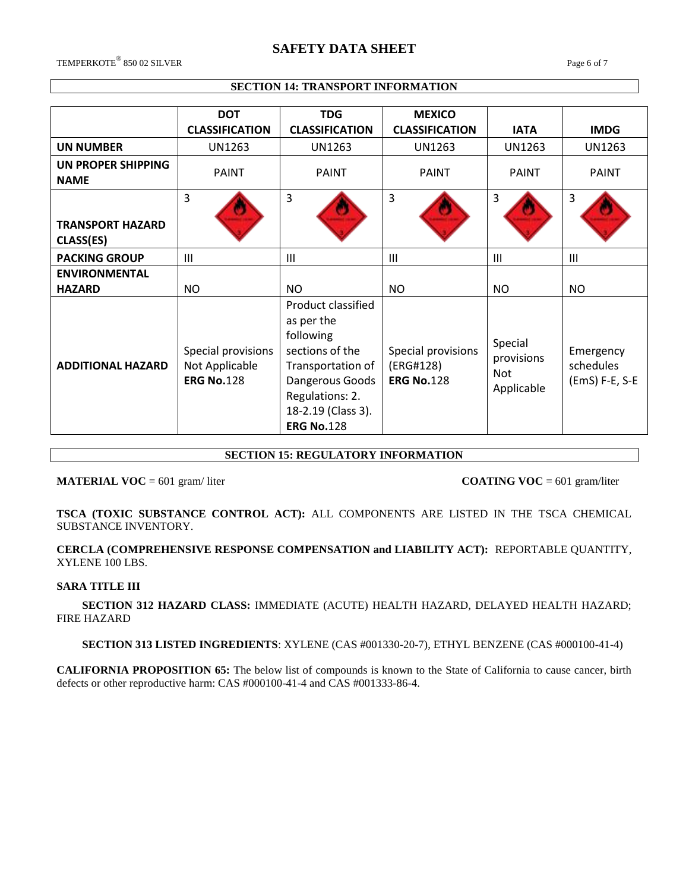# **SAFETY DATA SHEET**

 $\rm{TEMPERKOTE}^{\circledR}$  850 02 SILVER  $\rm{Page}\;6$  of  $7$ 

## **SECTION 14: TRANSPORT INFORMATION**

|                                      | <b>DOT</b><br><b>CLASSIFICATION</b>                       | <b>TDG</b><br><b>CLASSIFICATION</b>                                                                                                                                    | <b>MEXICO</b><br><b>CLASSIFICATION</b>               | <b>IATA</b>                                | <b>IMDG</b>                              |
|--------------------------------------|-----------------------------------------------------------|------------------------------------------------------------------------------------------------------------------------------------------------------------------------|------------------------------------------------------|--------------------------------------------|------------------------------------------|
| <b>UN NUMBER</b>                     | <b>UN1263</b>                                             | <b>UN1263</b>                                                                                                                                                          | <b>UN1263</b>                                        | UN1263                                     | <b>UN1263</b>                            |
| UN PROPER SHIPPING<br><b>NAME</b>    | <b>PAINT</b>                                              | PAINT                                                                                                                                                                  | <b>PAINT</b>                                         | <b>PAINT</b>                               | <b>PAINT</b>                             |
| <b>TRANSPORT HAZARD</b><br>CLASS(ES) | 3                                                         | $\overline{3}$                                                                                                                                                         | 3                                                    | 3                                          | 3                                        |
| <b>PACKING GROUP</b>                 | III                                                       | $\mathbf{III}$                                                                                                                                                         | $\mathbf{III}$                                       | $\mathbf{III}$                             | III                                      |
| <b>ENVIRONMENTAL</b>                 |                                                           |                                                                                                                                                                        |                                                      |                                            |                                          |
| <b>HAZARD</b>                        | <b>NO</b>                                                 | <b>NO</b>                                                                                                                                                              | <b>NO</b>                                            | <b>NO</b>                                  | <b>NO</b>                                |
| <b>ADDITIONAL HAZARD</b>             | Special provisions<br>Not Applicable<br><b>ERG No.128</b> | Product classified<br>as per the<br>following<br>sections of the<br>Transportation of<br>Dangerous Goods<br>Regulations: 2.<br>18-2.19 (Class 3).<br><b>ERG No.128</b> | Special provisions<br>(ERG#128)<br><b>ERG No.128</b> | Special<br>provisions<br>Not<br>Applicable | Emergency<br>schedules<br>(EmS) F-E, S-E |

## **SECTION 15: REGULATORY INFORMATION**

**MATERIAL VOC** = 601 gram/liter **COATING VOC** = 601 gram/liter

**TSCA (TOXIC SUBSTANCE CONTROL ACT):** ALL COMPONENTS ARE LISTED IN THE TSCA CHEMICAL SUBSTANCE INVENTORY.

**CERCLA (COMPREHENSIVE RESPONSE COMPENSATION and LIABILITY ACT):** REPORTABLE QUANTITY, XYLENE 100 LBS.

#### **SARA TITLE III**

 **SECTION 312 HAZARD CLASS:** IMMEDIATE (ACUTE) HEALTH HAZARD, DELAYED HEALTH HAZARD; FIRE HAZARD

## **SECTION 313 LISTED INGREDIENTS**: XYLENE (CAS #001330-20-7), ETHYL BENZENE (CAS #000100-41-4)

**CALIFORNIA PROPOSITION 65:** The below list of compounds is known to the State of California to cause cancer, birth defects or other reproductive harm: CAS #000100-41-4 and CAS #001333-86-4.